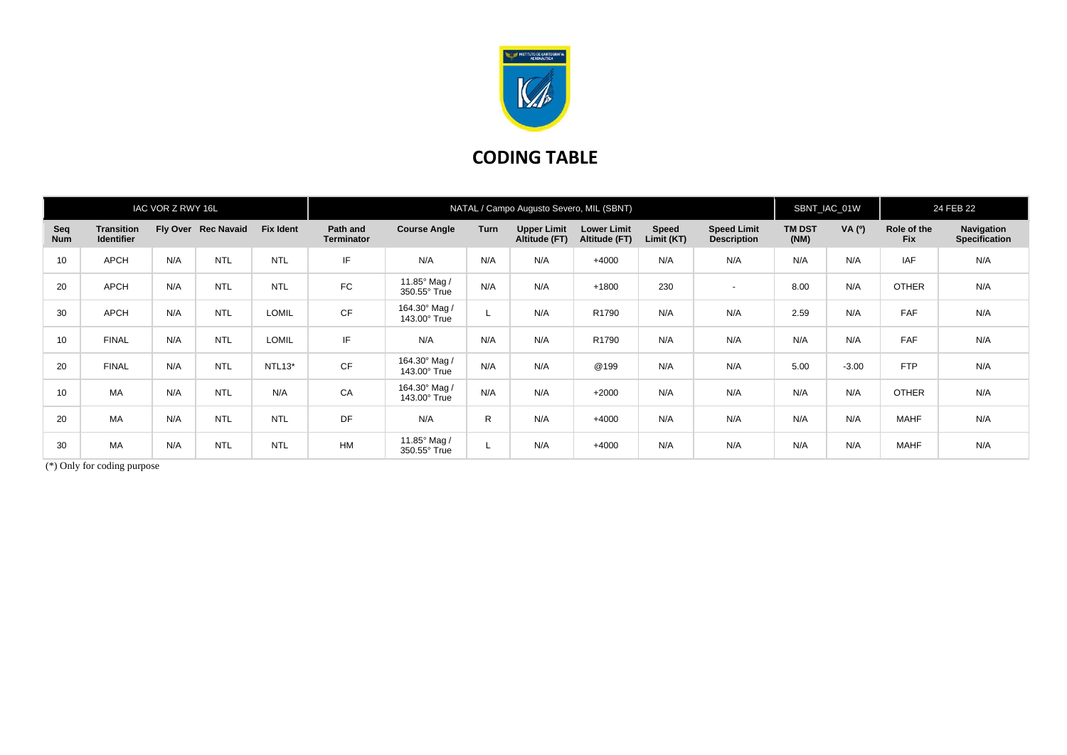

## **CODING TABLE**

| IAC VOR Z RWY 16L |                                        |     |                     |                  | NATAL / Campo Augusto Severo, MIL (SBNT) |                               |      |                                     |                                     |                     |                                          |                       | SBNT_IAC_01W |                           | 24 FEB 22                          |  |
|-------------------|----------------------------------------|-----|---------------------|------------------|------------------------------------------|-------------------------------|------|-------------------------------------|-------------------------------------|---------------------|------------------------------------------|-----------------------|--------------|---------------------------|------------------------------------|--|
| Seq<br><b>Num</b> | <b>Transition</b><br><b>Identifier</b> |     | Fly Over Rec Navaid | <b>Fix Ident</b> | Path and<br><b>Terminator</b>            | <b>Course Angle</b>           | Turn | <b>Upper Limit</b><br>Altitude (FT) | <b>Lower Limit</b><br>Altitude (FT) | Speed<br>Limit (KT) | <b>Speed Limit</b><br><b>Description</b> | <b>TM DST</b><br>(NM) | VA (0)       | Role of the<br><b>Fix</b> | Navigation<br><b>Specification</b> |  |
| 10                | <b>APCH</b>                            | N/A | <b>NTL</b>          | <b>NTL</b>       | IF                                       | N/A                           | N/A  | N/A                                 | $+4000$                             | N/A                 | N/A                                      | N/A                   | N/A          | <b>IAF</b>                | N/A                                |  |
| 20                | <b>APCH</b>                            | N/A | <b>NTL</b>          | <b>NTL</b>       | FC                                       | 11.85° Mag /<br>350.55° True  | N/A  | N/A                                 | $+1800$                             | 230                 | $\blacksquare$                           | 8.00                  | N/A          | <b>OTHER</b>              | N/A                                |  |
| 30                | <b>APCH</b>                            | N/A | <b>NTL</b>          | <b>LOMIL</b>     | CF                                       | 164.30° Mag /<br>143.00° True |      | N/A                                 | R1790                               | N/A                 | N/A                                      | 2.59                  | N/A          | <b>FAF</b>                | N/A                                |  |
| 10                | <b>FINAL</b>                           | N/A | <b>NTL</b>          | <b>LOMIL</b>     | IF                                       | N/A                           | N/A  | N/A                                 | R1790                               | N/A                 | N/A                                      | N/A                   | N/A          | <b>FAF</b>                | N/A                                |  |
| 20                | <b>FINAL</b>                           | N/A | <b>NTL</b>          | NTL13*           | <b>CF</b>                                | 164.30° Mag /<br>143.00° True | N/A  | N/A                                 | @199                                | N/A                 | N/A                                      | 5.00                  | $-3.00$      | <b>FTP</b>                | N/A                                |  |
| 10                | <b>MA</b>                              | N/A | <b>NTL</b>          | N/A              | CA                                       | 164.30° Mag /<br>143.00° True | N/A  | N/A                                 | $+2000$                             | N/A                 | N/A                                      | N/A                   | N/A          | <b>OTHER</b>              | N/A                                |  |
| 20                | <b>MA</b>                              | N/A | <b>NTL</b>          | <b>NTL</b>       | DF                                       | N/A                           | R    | N/A                                 | $+4000$                             | N/A                 | N/A                                      | N/A                   | N/A          | <b>MAHF</b>               | N/A                                |  |
| 30                | <b>MA</b>                              | N/A | <b>NTL</b>          | <b>NTL</b>       | HM                                       | 11.85° Mag /<br>350.55° True  |      | N/A                                 | $+4000$                             | N/A                 | N/A                                      | N/A                   | N/A          | <b>MAHF</b>               | N/A                                |  |

(\*) Only for coding purpose